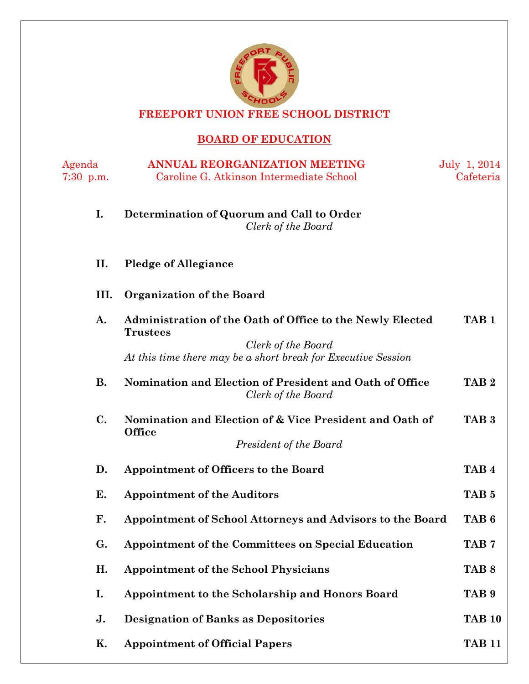

**FREEPORT UNION FREE SCHOOL DISTRICT**

# **BOARD OF EDUCATION**

| Agenda<br>$7:30$ p.m. | <b>ANNUAL REORGANIZATION MEETING</b><br>Caroline G. Atkinson Intermediate School                                                                                    | July 1, 2014<br>Cafeteria |
|-----------------------|---------------------------------------------------------------------------------------------------------------------------------------------------------------------|---------------------------|
| I.                    | Determination of Quorum and Call to Order<br>Clerk of the Board                                                                                                     |                           |
| П.                    | <b>Pledge of Allegiance</b>                                                                                                                                         |                           |
| III.                  | Organization of the Board                                                                                                                                           |                           |
| A.                    | Administration of the Oath of Office to the Newly Elected<br><b>Trustees</b><br>Clerk of the Board<br>At this time there may be a short break for Executive Session | TAB <sub>1</sub>          |
| <b>B.</b>             | Nomination and Election of President and Oath of Office<br>Clerk of the Board                                                                                       | TAB <sub>2</sub>          |
| C.                    | Nomination and Election of & Vice President and Oath of<br><b>Office</b><br>President of the Board                                                                  | TAB <sub>3</sub>          |
| D.                    | Appointment of Officers to the Board                                                                                                                                | TAB <sub>4</sub>          |
| Е.                    | <b>Appointment of the Auditors</b>                                                                                                                                  | TAB <sub>5</sub>          |
| F.                    | Appointment of School Attorneys and Advisors to the Board                                                                                                           | TAB <sub>6</sub>          |
| G.                    | Appointment of the Committees on Special Education                                                                                                                  | TAB 7                     |
| H.                    | <b>Appointment of the School Physicians</b>                                                                                                                         | TAB <sub>8</sub>          |
| I.                    | Appointment to the Scholarship and Honors Board                                                                                                                     | TAB <sub>9</sub>          |
| J.                    | <b>Designation of Banks as Depositories</b>                                                                                                                         | <b>TAB 10</b>             |
| Κ.                    | <b>Appointment of Official Papers</b>                                                                                                                               | <b>TAB 11</b>             |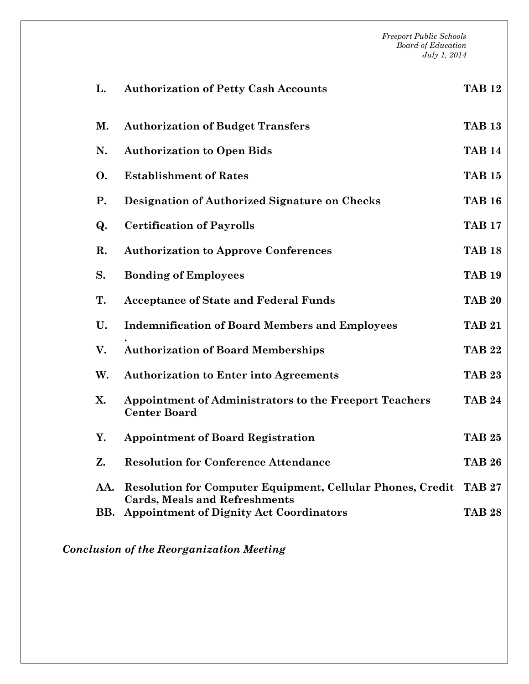*Freeport Public Schools Board of Education July 1, 2014* **L. Authorization of Petty Cash Accounts TAB 12 M. Authorization of Budget Transfers TAB 13 N. Authorization to Open Bids TAB 14 O. Establishment of Rates TAB 15 P. Designation of Authorized Signature on Checks TAB 16 Q. Certification of Payrolls TAB 17 R. Authorization to Approve Conferences TAB 18 S. Bonding of Employees TAB 19 T. Acceptance of State and Federal Funds TAB 20 U. Indemnification of Board Members and Employees . TAB 21 V. Authorization of Board Memberships TAB 22 W. Authorization to Enter into Agreements TAB 23 X. Appointment of Administrators to the Freeport Teachers Center Board TAB 24 Y. Appointment of Board Registration TAB 25 Z. Resolution for Conference Attendance TAB 26 AA. Resolution for Computer Equipment, Cellular Phones, Credit TAB 27 Cards, Meals and Refreshments BB. Appointment of Dignity Act Coordinators TAB 28**

*Conclusion of the Reorganization Meeting*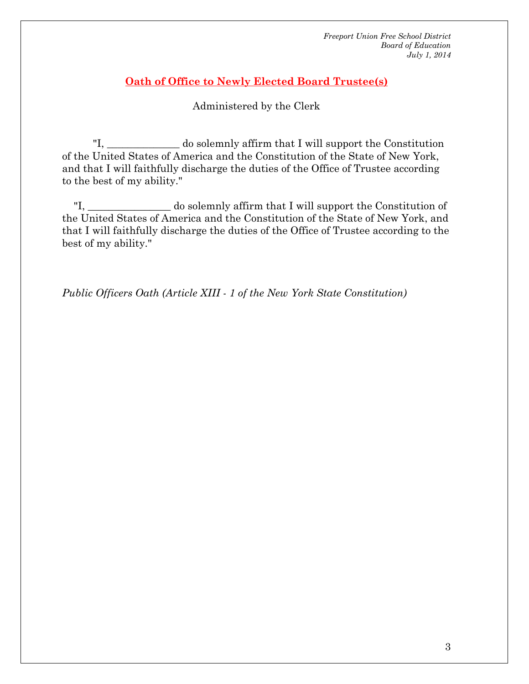#### **Oath of Office to Newly Elected Board Trustee(s)**

#### Administered by the Clerk

"I, \_\_\_\_\_\_\_\_\_\_\_\_\_\_ do solemnly affirm that I will support the Constitution of the United States of America and the Constitution of the State of New York, and that I will faithfully discharge the duties of the Office of Trustee according to the best of my ability."

"I, \_\_\_\_\_\_\_\_\_\_\_\_\_\_\_\_ do solemnly affirm that I will support the Constitution of the United States of America and the Constitution of the State of New York, and that I will faithfully discharge the duties of the Office of Trustee according to the best of my ability."

*Public Officers Oath (Article XIII - 1 of the New York State Constitution)*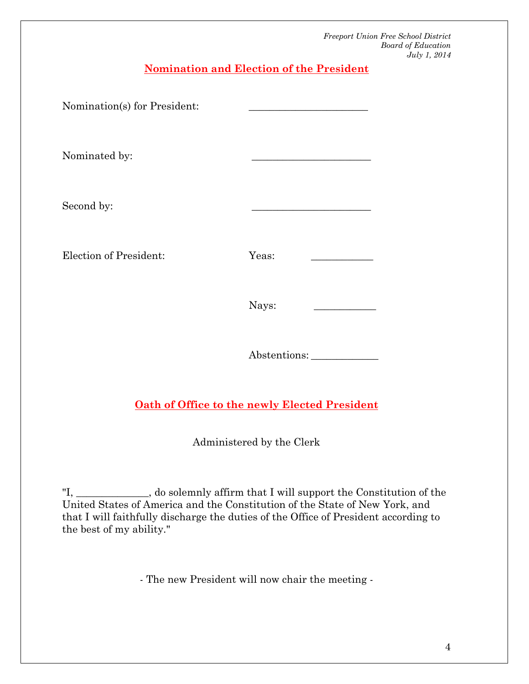**Nomination and Election of the President**

| Nomination(s) for President: |       |
|------------------------------|-------|
| Nominated by:                |       |
| Second by:                   |       |
| Election of President:       | Yeas: |
|                              | Nays: |
|                              |       |

Abstentions: \_\_\_\_\_\_\_\_\_\_\_\_\_

# **Oath of Office to the newly Elected President**

Administered by the Clerk

"I, \_\_\_\_\_\_\_\_\_\_\_\_\_\_, do solemnly affirm that I will support the Constitution of the United States of America and the Constitution of the State of New York, and that I will faithfully discharge the duties of the Office of President according to the best of my ability."

- The new President will now chair the meeting -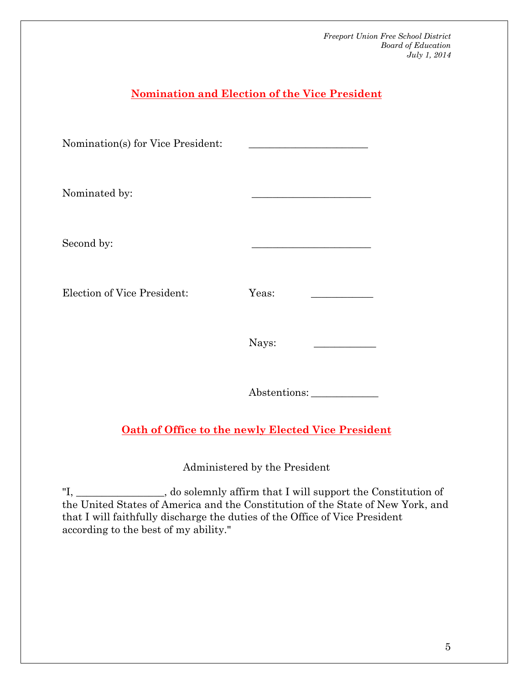# **Nomination and Election of the Vice President** Nomination(s) for Vice President: Nominated by: Second by: Election of Vice President: Yeas: Nays: Abstentions: \_\_\_\_\_\_\_\_\_\_\_\_\_ **Oath of Office to the newly Elected Vice President**

Administered by the President

"I, \_\_\_\_\_\_*\_\_\_\_\_\_\_\_\_\_\_*, do solemnly affirm that I will support the Constitution of the United States of America and the Constitution of the State of New York, and that I will faithfully discharge the duties of the Office of Vice President according to the best of my ability."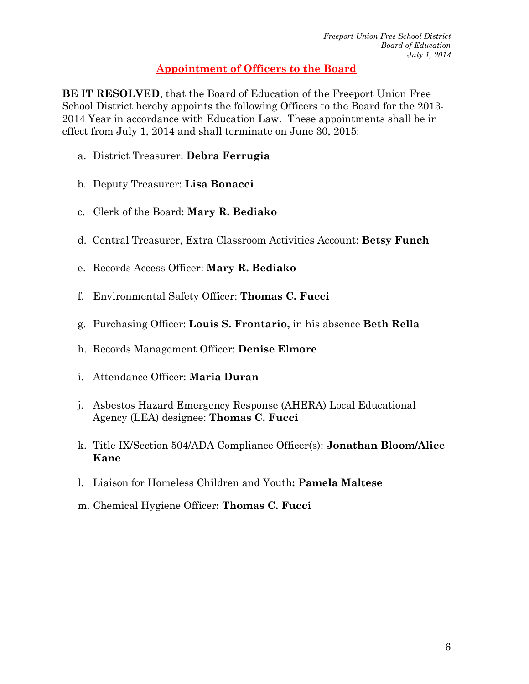#### **Appointment of Officers to the Board**

**BE IT RESOLVED**, that the Board of Education of the Freeport Union Free School District hereby appoints the following Officers to the Board for the 2013- 2014 Year in accordance with Education Law. These appointments shall be in effect from July 1, 2014 and shall terminate on June 30, 2015:

- a. District Treasurer: **Debra Ferrugia**
- b. Deputy Treasurer: **Lisa Bonacci**
- c. Clerk of the Board: **Mary R. Bediako**
- d. Central Treasurer, Extra Classroom Activities Account: **Betsy Funch**
- e. Records Access Officer: **Mary R. Bediako**
- f. Environmental Safety Officer: **Thomas C. Fucci**
- g. Purchasing Officer: **Louis S. Frontario,** in his absence **Beth Rella**
- h. Records Management Officer: **Denise Elmore**
- i. Attendance Officer: **Maria Duran**
- j. Asbestos Hazard Emergency Response (AHERA) Local Educational Agency (LEA) designee: **Thomas C. Fucci**
- k. Title IX/Section 504/ADA Compliance Officer(s): **Jonathan Bloom/Alice Kane**
- l. Liaison for Homeless Children and Youth**: Pamela Maltese**
- m. Chemical Hygiene Officer**: Thomas C. Fucci**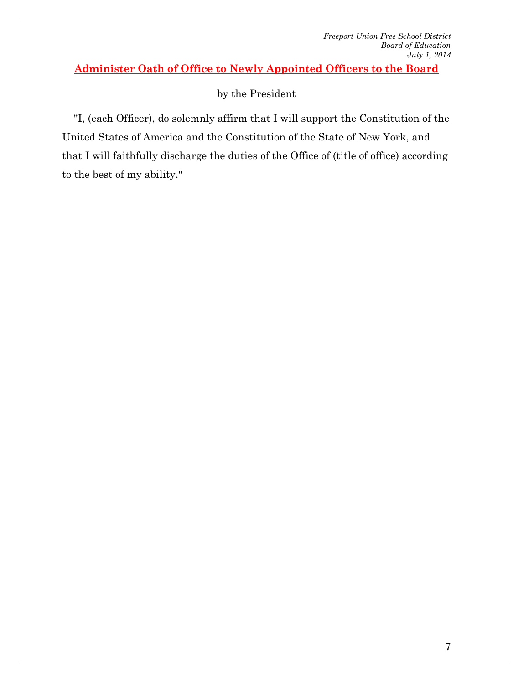**Administer Oath of Office to Newly Appointed Officers to the Board**

# by the President

"I, (each Officer), do solemnly affirm that I will support the Constitution of the United States of America and the Constitution of the State of New York, and that I will faithfully discharge the duties of the Office of (title of office) according to the best of my ability."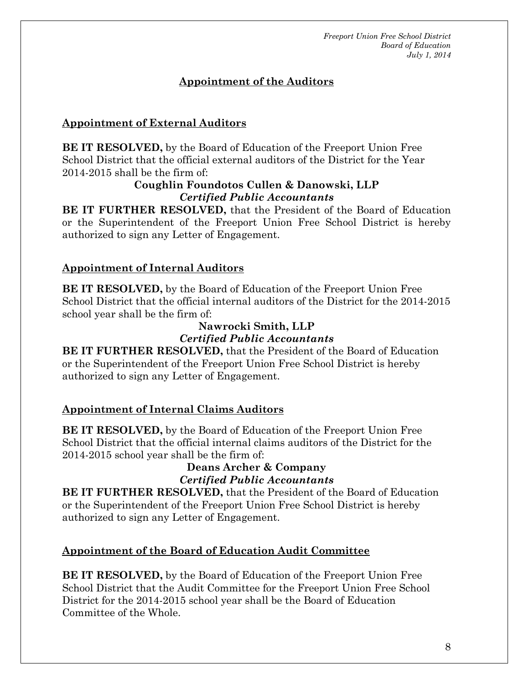# **Appointment of the Auditors**

## **Appointment of External Auditors**

**BE IT RESOLVED,** by the Board of Education of the Freeport Union Free School District that the official external auditors of the District for the Year 2014-2015 shall be the firm of:

#### **Coughlin Foundotos Cullen & Danowski, LLP** *Certified Public Accountants*

**BE IT FURTHER RESOLVED,** that the President of the Board of Education or the Superintendent of the Freeport Union Free School District is hereby authorized to sign any Letter of Engagement.

## **Appointment of Internal Auditors**

**BE IT RESOLVED,** by the Board of Education of the Freeport Union Free School District that the official internal auditors of the District for the 2014-2015 school year shall be the firm of:

# **Nawrocki Smith, LLP** *Certified Public Accountants*

**BE IT FURTHER RESOLVED,** that the President of the Board of Education or the Superintendent of the Freeport Union Free School District is hereby authorized to sign any Letter of Engagement.

#### **Appointment of Internal Claims Auditors**

**BE IT RESOLVED,** by the Board of Education of the Freeport Union Free School District that the official internal claims auditors of the District for the 2014-2015 school year shall be the firm of:

## **Deans Archer & Company** *Certified Public Accountants*

**BE IT FURTHER RESOLVED,** that the President of the Board of Education or the Superintendent of the Freeport Union Free School District is hereby authorized to sign any Letter of Engagement.

# **Appointment of the Board of Education Audit Committee**

**BE IT RESOLVED,** by the Board of Education of the Freeport Union Free School District that the Audit Committee for the Freeport Union Free School District for the 2014-2015 school year shall be the Board of Education Committee of the Whole.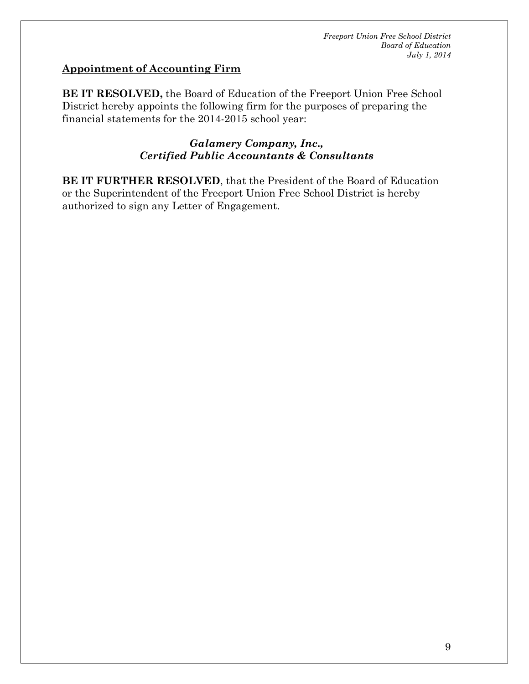#### **Appointment of Accounting Firm**

**BE IT RESOLVED,** the Board of Education of the Freeport Union Free School District hereby appoints the following firm for the purposes of preparing the financial statements for the 2014-2015 school year:

#### *Galamery Company, Inc., Certified Public Accountants & Consultants*

**BE IT FURTHER RESOLVED**, that the President of the Board of Education or the Superintendent of the Freeport Union Free School District is hereby authorized to sign any Letter of Engagement.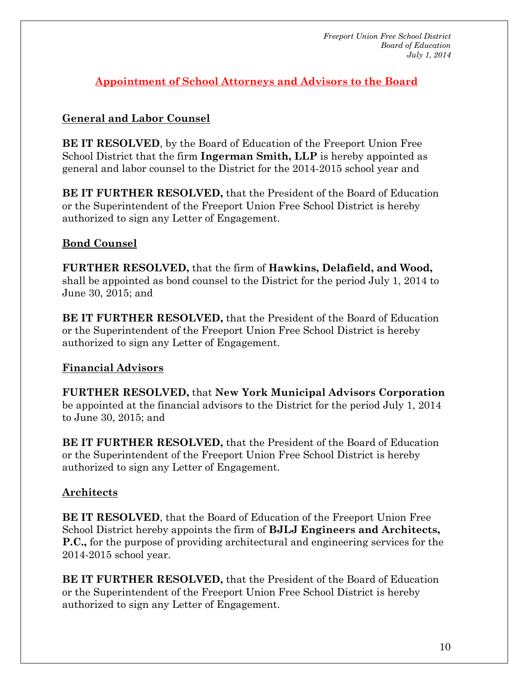**Appointment of School Attorneys and Advisors to the Board**

# **General and Labor Counsel**

**BE IT RESOLVED**, by the Board of Education of the Freeport Union Free School District that the firm **Ingerman Smith, LLP** is hereby appointed as general and labor counsel to the District for the 2014-2015 school year and

**BE IT FURTHER RESOLVED,** that the President of the Board of Education or the Superintendent of the Freeport Union Free School District is hereby authorized to sign any Letter of Engagement.

# **Bond Counsel**

**FURTHER RESOLVED,** that the firm of **Hawkins, Delafield, and Wood,** shall be appointed as bond counsel to the District for the period July 1, 2014 to June 30, 2015; and

**BE IT FURTHER RESOLVED,** that the President of the Board of Education or the Superintendent of the Freeport Union Free School District is hereby authorized to sign any Letter of Engagement.

# **Financial Advisors**

**FURTHER RESOLVED,** that **New York Municipal Advisors Corporation** be appointed at the financial advisors to the District for the period July 1, 2014 to June 30, 2015; and

**BE IT FURTHER RESOLVED,** that the President of the Board of Education or the Superintendent of the Freeport Union Free School District is hereby authorized to sign any Letter of Engagement.

# **Architects**

**BE IT RESOLVED**, that the Board of Education of the Freeport Union Free School District hereby appoints the firm of **BJLJ Engineers and Architects, P.C.,** for the purpose of providing architectural and engineering services for the 2014-2015 school year.

**BE IT FURTHER RESOLVED,** that the President of the Board of Education or the Superintendent of the Freeport Union Free School District is hereby authorized to sign any Letter of Engagement.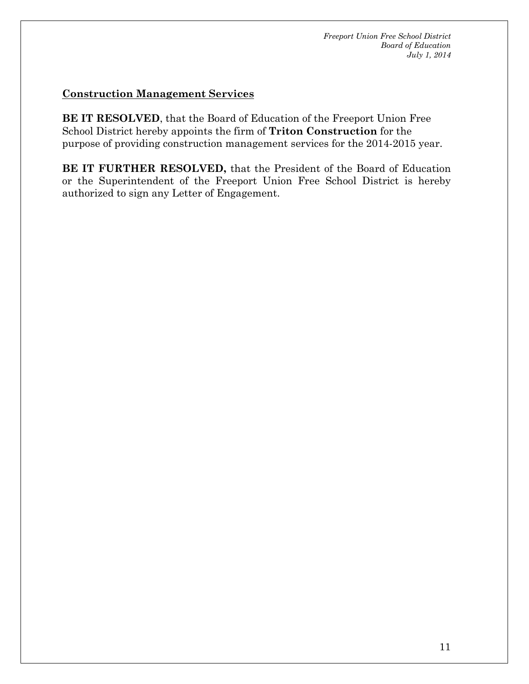#### **Construction Management Services**

**BE IT RESOLVED**, that the Board of Education of the Freeport Union Free School District hereby appoints the firm of **Triton Construction** for the purpose of providing construction management services for the 2014-2015 year.

**BE IT FURTHER RESOLVED,** that the President of the Board of Education or the Superintendent of the Freeport Union Free School District is hereby authorized to sign any Letter of Engagement.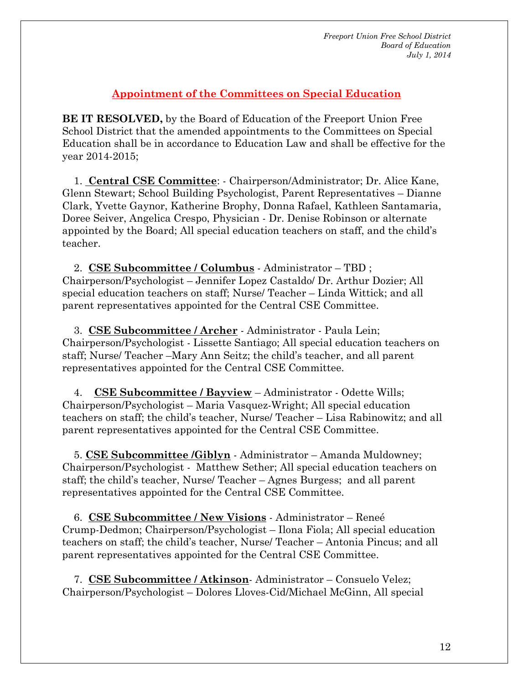#### **Appointment of the Committees on Special Education**

**BE IT RESOLVED,** by the Board of Education of the Freeport Union Free School District that the amended appointments to the Committees on Special Education shall be in accordance to Education Law and shall be effective for the year 2014-2015;

1. **Central CSE Committee**: - Chairperson/Administrator; Dr. Alice Kane, Glenn Stewart; School Building Psychologist, Parent Representatives – Dianne Clark, Yvette Gaynor, Katherine Brophy, Donna Rafael, Kathleen Santamaria, Doree Seiver, Angelica Crespo, Physician - Dr. Denise Robinson or alternate appointed by the Board; All special education teachers on staff, and the child's teacher.

2. **CSE Subcommittee / Columbus** - Administrator – TBD ; Chairperson/Psychologist – Jennifer Lopez Castaldo/ Dr. Arthur Dozier; All special education teachers on staff; Nurse/ Teacher – Linda Wittick; and all parent representatives appointed for the Central CSE Committee.

3. **CSE Subcommittee / Archer** - Administrator - Paula Lein; Chairperson/Psychologist - Lissette Santiago; All special education teachers on staff; Nurse/ Teacher –Mary Ann Seitz; the child's teacher, and all parent representatives appointed for the Central CSE Committee.

4. **CSE Subcommittee / Bayview** – Administrator - Odette Wills; Chairperson/Psychologist – Maria Vasquez-Wright; All special education teachers on staff; the child's teacher, Nurse/ Teacher – Lisa Rabinowitz; and all parent representatives appointed for the Central CSE Committee.

5. **CSE Subcommittee /Giblyn** - Administrator – Amanda Muldowney; Chairperson/Psychologist - Matthew Sether; All special education teachers on staff; the child's teacher, Nurse/ Teacher – Agnes Burgess; and all parent representatives appointed for the Central CSE Committee.

6. **CSE Subcommittee / New Visions** - Administrator – Reneé Crump-Dedmon; Chairperson/Psychologist – Ilona Fiola; All special education teachers on staff; the child's teacher, Nurse/ Teacher – Antonia Pincus; and all parent representatives appointed for the Central CSE Committee.

7. **CSE Subcommittee / Atkinson**- Administrator – Consuelo Velez; Chairperson/Psychologist – Dolores Lloves-Cid/Michael McGinn, All special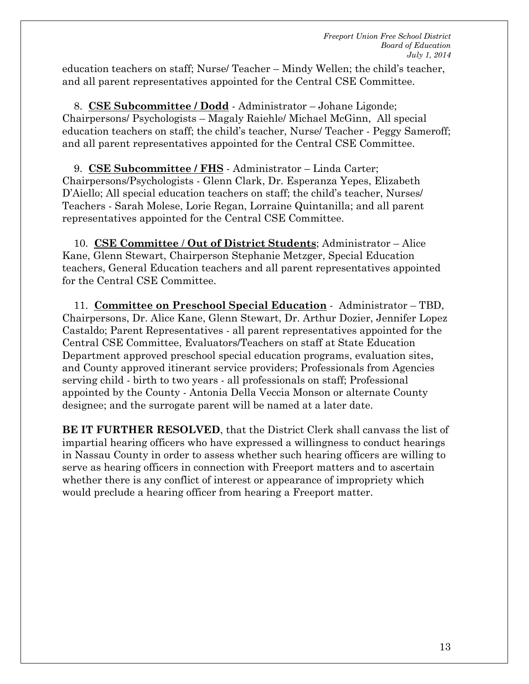education teachers on staff; Nurse/ Teacher – Mindy Wellen; the child's teacher, and all parent representatives appointed for the Central CSE Committee.

8. **CSE Subcommittee / Dodd** - Administrator – Johane Ligonde; Chairpersons/ Psychologists – Magaly Raiehle/ Michael McGinn, All special education teachers on staff; the child's teacher, Nurse/ Teacher - Peggy Sameroff; and all parent representatives appointed for the Central CSE Committee.

9. **CSE Subcommittee / FHS** - Administrator – Linda Carter; Chairpersons/Psychologists - Glenn Clark, Dr. Esperanza Yepes, Elizabeth D'Aiello; All special education teachers on staff; the child's teacher, Nurses/ Teachers - Sarah Molese, Lorie Regan, Lorraine Quintanilla; and all parent representatives appointed for the Central CSE Committee.

10. **CSE Committee** / **Out of District Students**; Administrator – Alice Kane, Glenn Stewart, Chairperson Stephanie Metzger, Special Education teachers, General Education teachers and all parent representatives appointed for the Central CSE Committee.

11. **Committee on Preschool Special Education** - Administrator – TBD, Chairpersons, Dr. Alice Kane, Glenn Stewart, Dr. Arthur Dozier, Jennifer Lopez Castaldo; Parent Representatives - all parent representatives appointed for the Central CSE Committee, Evaluators/Teachers on staff at State Education Department approved preschool special education programs, evaluation sites, and County approved itinerant service providers; Professionals from Agencies serving child - birth to two years - all professionals on staff; Professional appointed by the County - Antonia Della Veccia Monson or alternate County designee; and the surrogate parent will be named at a later date.

**BE IT FURTHER RESOLVED**, that the District Clerk shall canvass the list of impartial hearing officers who have expressed a willingness to conduct hearings in Nassau County in order to assess whether such hearing officers are willing to serve as hearing officers in connection with Freeport matters and to ascertain whether there is any conflict of interest or appearance of impropriety which would preclude a hearing officer from hearing a Freeport matter.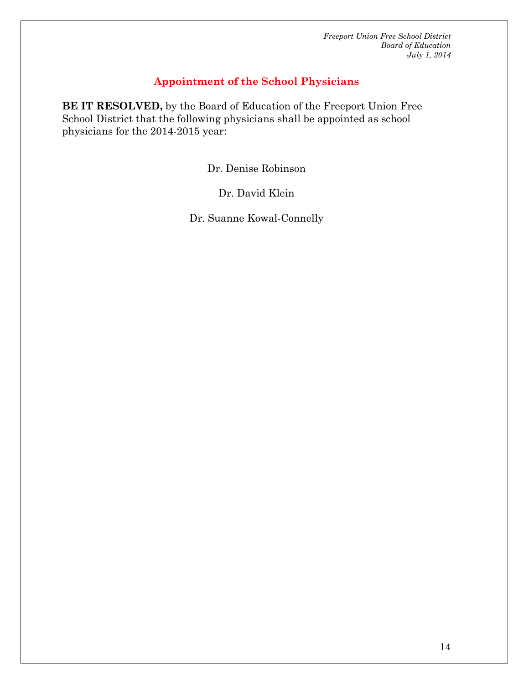#### **Appointment of the School Physicians**

**BE IT RESOLVED,** by the Board of Education of the Freeport Union Free School District that the following physicians shall be appointed as school physicians for the 2014-2015 year:

Dr. Denise Robinson

Dr. David Klein

Dr. Suanne Kowal-Connelly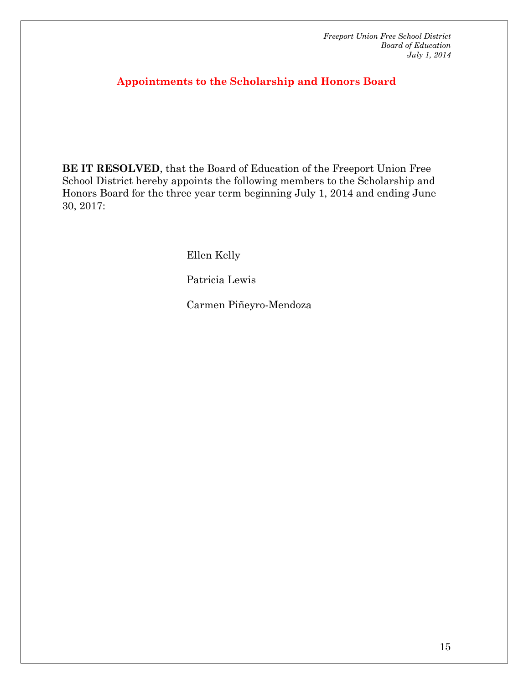**Appointments to the Scholarship and Honors Board**

**BE IT RESOLVED**, that the Board of Education of the Freeport Union Free School District hereby appoints the following members to the Scholarship and Honors Board for the three year term beginning July 1, 2014 and ending June 30, 2017:

Ellen Kelly

Patricia Lewis

Carmen Piñeyro-Mendoza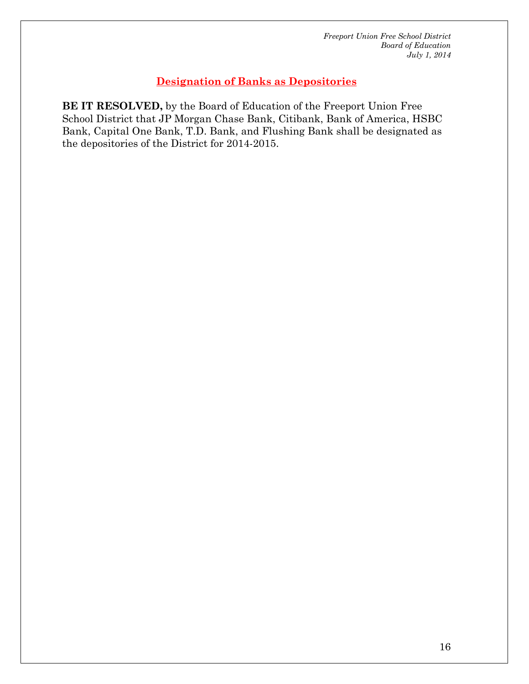## **Designation of Banks as Depositories**

**BE IT RESOLVED,** by the Board of Education of the Freeport Union Free School District that JP Morgan Chase Bank, Citibank, Bank of America, HSBC Bank, Capital One Bank, T.D. Bank, and Flushing Bank shall be designated as the depositories of the District for 2014-2015.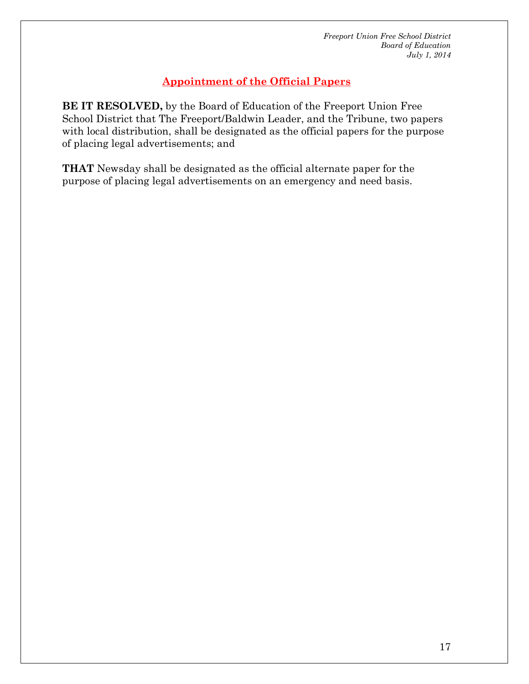# **Appointment of the Official Papers**

**BE IT RESOLVED,** by the Board of Education of the Freeport Union Free School District that The Freeport/Baldwin Leader, and the Tribune, two papers with local distribution, shall be designated as the official papers for the purpose of placing legal advertisements; and

**THAT** Newsday shall be designated as the official alternate paper for the purpose of placing legal advertisements on an emergency and need basis.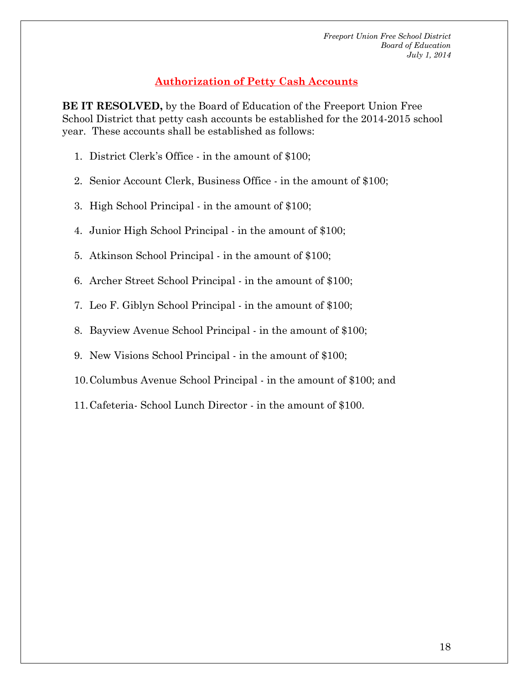# **Authorization of Petty Cash Accounts**

**BE IT RESOLVED,** by the Board of Education of the Freeport Union Free School District that petty cash accounts be established for the 2014-2015 school year. These accounts shall be established as follows:

- 1. District Clerk's Office in the amount of \$100;
- 2. Senior Account Clerk, Business Office in the amount of \$100;
- 3. High School Principal in the amount of \$100;
- 4. Junior High School Principal in the amount of \$100;
- 5. Atkinson School Principal in the amount of \$100;
- 6. Archer Street School Principal in the amount of \$100;
- 7. Leo F. Giblyn School Principal in the amount of \$100;
- 8. Bayview Avenue School Principal in the amount of \$100;
- 9. New Visions School Principal in the amount of \$100;
- 10.Columbus Avenue School Principal in the amount of \$100; and
- 11.Cafeteria- School Lunch Director in the amount of \$100.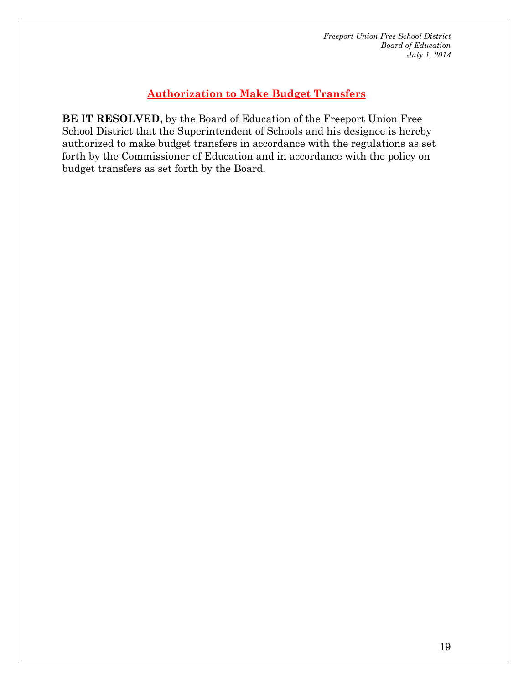## **Authorization to Make Budget Transfers**

**BE IT RESOLVED,** by the Board of Education of the Freeport Union Free School District that the Superintendent of Schools and his designee is hereby authorized to make budget transfers in accordance with the regulations as set forth by the Commissioner of Education and in accordance with the policy on budget transfers as set forth by the Board.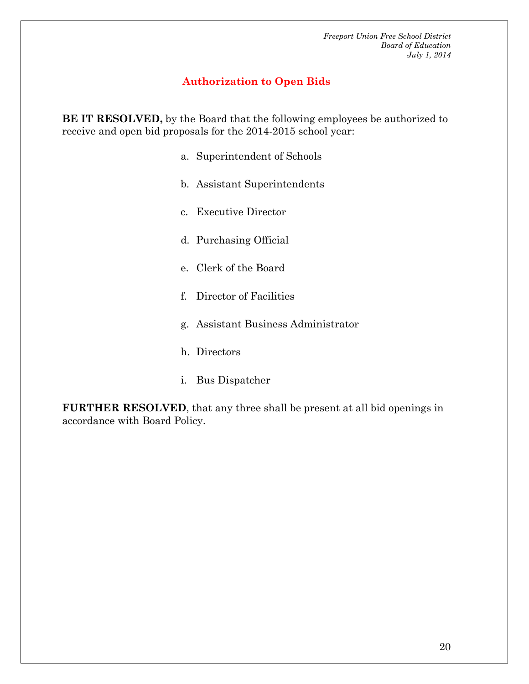#### **Authorization to Open Bids**

**BE IT RESOLVED,** by the Board that the following employees be authorized to receive and open bid proposals for the 2014-2015 school year:

- a. Superintendent of Schools
- b. Assistant Superintendents
- c. Executive Director
- d. Purchasing Official
- e. Clerk of the Board
- f. Director of Facilities
- g. Assistant Business Administrator
- h. Directors
- i. Bus Dispatcher

**FURTHER RESOLVED**, that any three shall be present at all bid openings in accordance with Board Policy.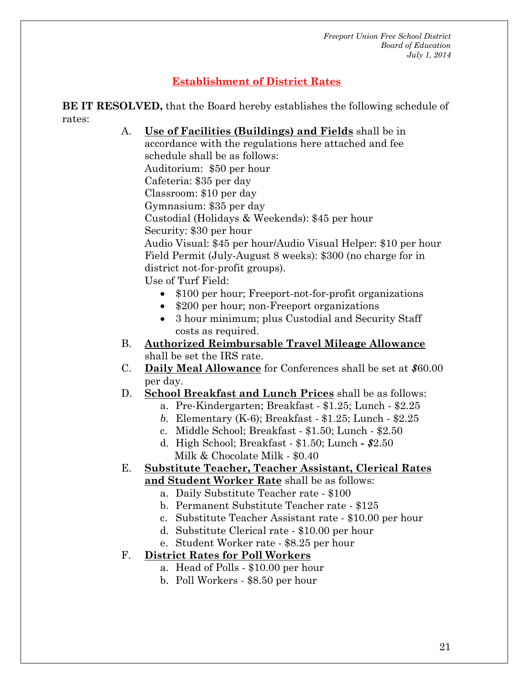# **Establishment of District Rates**

**BE IT RESOLVED,** that the Board hereby establishes the following schedule of rates:

- A. **Use of Facilities (Buildings) and Fields** shall be in accordance with the regulations here attached and fee schedule shall be as follows: Auditorium: \$50 per hour Cafeteria: \$35 per day Classroom: \$10 per day Gymnasium: \$35 per day Custodial (Holidays & Weekends): \$45 per hour Security: \$30 per hour Audio Visual: \$45 per hour/Audio Visual Helper: \$10 per hour Field Permit (July-August 8 weeks): \$300 (no charge for in district not-for-profit groups). Use of Turf Field: • \$100 per hour; Freeport-not-for-profit organizations • \$200 per hour; non-Freeport organizations • 3 hour minimum; plus Custodial and Security Staff costs as required. B. **Authorized Reimbursable Travel Mileage Allowance** shall be set the IRS rate. C. **Daily Meal Allowance** for Conferences shall be set at *\$*60.00 per day. D. **School Breakfast and Lunch Prices** shall be as follows:
	- a. Pre-Kindergarten; Breakfast \$1.25; Lunch \$2.25
	- *b.* Elementary (K-6); Breakfast \$1.25; Lunch *-* \$2.25
	- c. Middle School; Breakfast \$1.50; Lunch \$2.50
	- d. High School; Breakfast \$1.50; Lunch *- \$*2.50 Milk & Chocolate Milk - \$0.40

# E. **Substitute Teacher, Teacher Assistant, Clerical Rates**

- **and Student Worker Rate** shall be as follows:
	- a. Daily Substitute Teacher rate \$100
	- b. Permanent Substitute Teacher rate \$125
	- c. Substitute Teacher Assistant rate \$10.00 per hour
	- d. Substitute Clerical rate \$10.00 per hour
	- e. Student Worker rate \$8.25 per hour

#### F. **District Rates for Poll Workers**

- a. Head of Polls \$10.00 per hour
	- b. Poll Workers \$8.50 per hour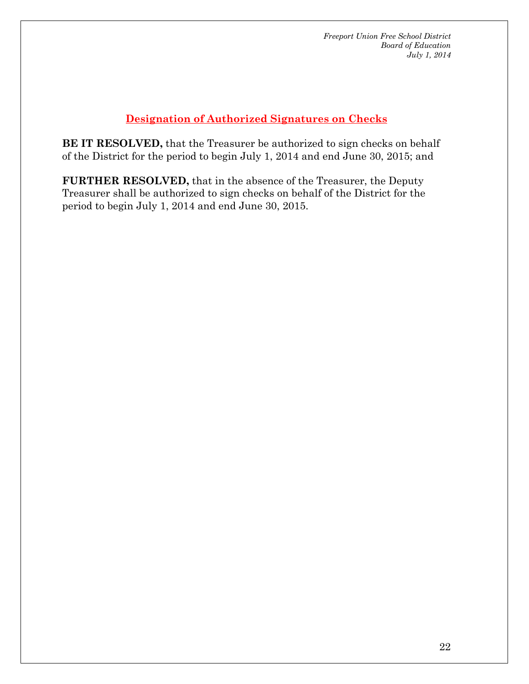# **Designation of Authorized Signatures on Checks**

**BE IT RESOLVED,** that the Treasurer be authorized to sign checks on behalf of the District for the period to begin July 1, 2014 and end June 30, 2015; and

**FURTHER RESOLVED,** that in the absence of the Treasurer, the Deputy Treasurer shall be authorized to sign checks on behalf of the District for the period to begin July 1, 2014 and end June 30, 2015.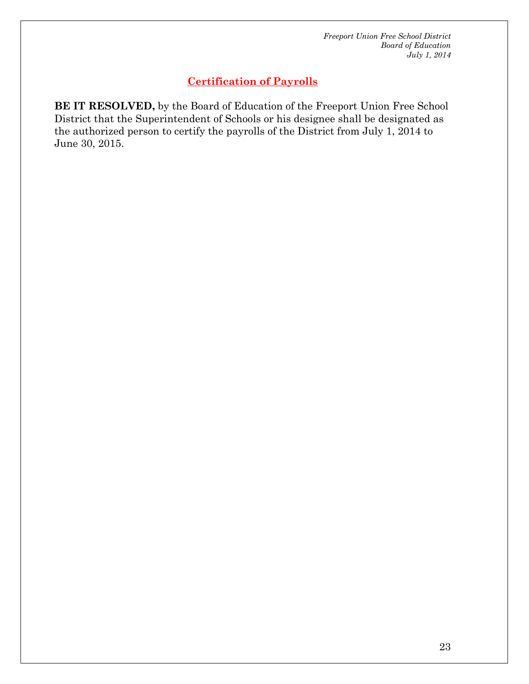#### **Certification of Payrolls**

**BE IT RESOLVED,** by the Board of Education of the Freeport Union Free School District that the Superintendent of Schools or his designee shall be designated as the authorized person to certify the payrolls of the District from July 1, 2014 to June 30, 2015.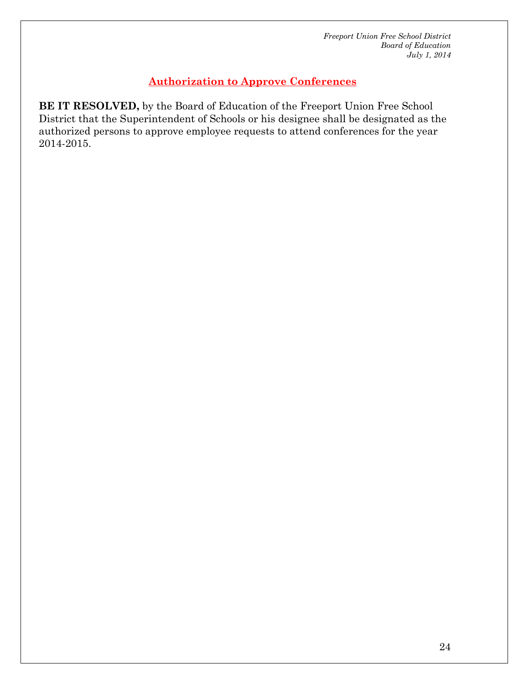# **Authorization to Approve Conferences**

**BE IT RESOLVED,** by the Board of Education of the Freeport Union Free School District that the Superintendent of Schools or his designee shall be designated as the authorized persons to approve employee requests to attend conferences for the year 2014-2015.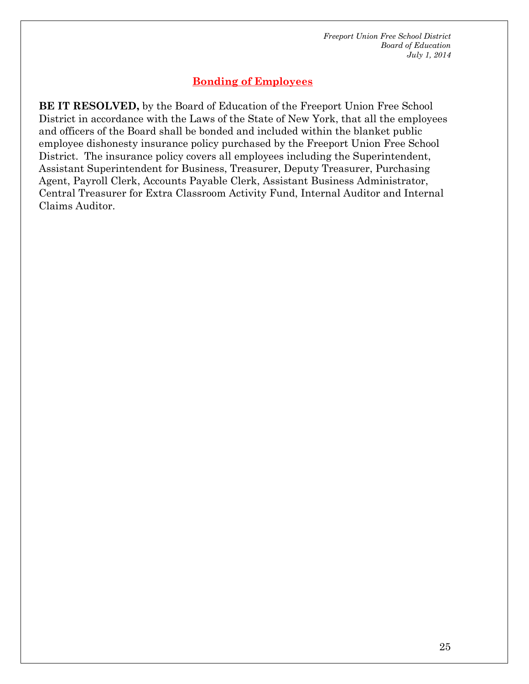# **Bonding of Employees**

**BE IT RESOLVED,** by the Board of Education of the Freeport Union Free School District in accordance with the Laws of the State of New York, that all the employees and officers of the Board shall be bonded and included within the blanket public employee dishonesty insurance policy purchased by the Freeport Union Free School District. The insurance policy covers all employees including the Superintendent, Assistant Superintendent for Business, Treasurer, Deputy Treasurer, Purchasing Agent, Payroll Clerk, Accounts Payable Clerk, Assistant Business Administrator, Central Treasurer for Extra Classroom Activity Fund, Internal Auditor and Internal Claims Auditor.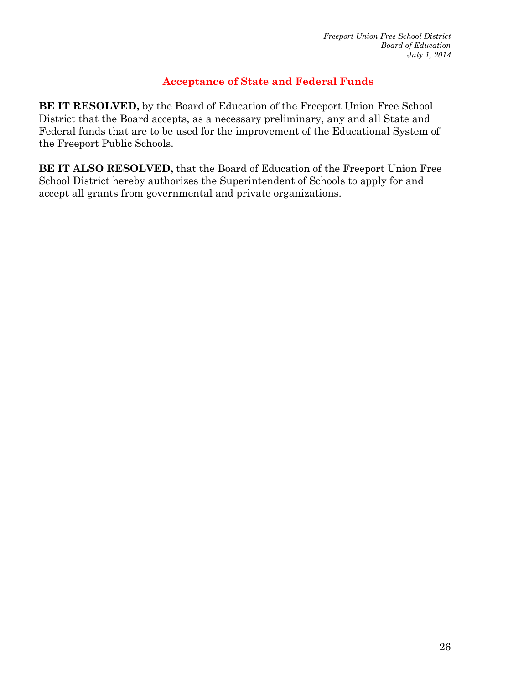# **Acceptance of State and Federal Funds**

**BE IT RESOLVED,** by the Board of Education of the Freeport Union Free School District that the Board accepts, as a necessary preliminary, any and all State and Federal funds that are to be used for the improvement of the Educational System of the Freeport Public Schools.

**BE IT ALSO RESOLVED,** that the Board of Education of the Freeport Union Free School District hereby authorizes the Superintendent of Schools to apply for and accept all grants from governmental and private organizations.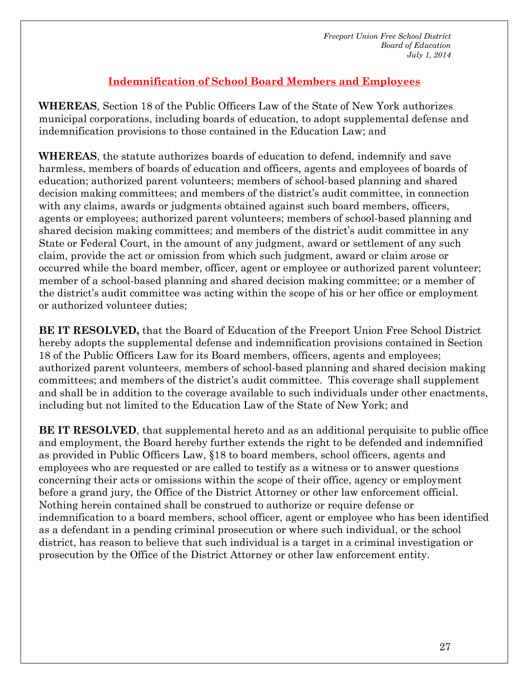# **Indemnification of School Board Members and Employees**

**WHEREAS**, Section 18 of the Public Officers Law of the State of New York authorizes municipal corporations, including boards of education, to adopt supplemental defense and indemnification provisions to those contained in the Education Law; and

**WHEREAS**, the statute authorizes boards of education to defend, indemnify and save harmless, members of boards of education and officers, agents and employees of boards of education; authorized parent volunteers; members of school-based planning and shared decision making committees; and members of the district's audit committee, in connection with any claims, awards or judgments obtained against such board members, officers, agents or employees; authorized parent volunteers; members of school-based planning and shared decision making committees; and members of the district's audit committee in any State or Federal Court, in the amount of any judgment, award or settlement of any such claim, provide the act or omission from which such judgment, award or claim arose or occurred while the board member, officer, agent or employee or authorized parent volunteer; member of a school-based planning and shared decision making committee; or a member of the district's audit committee was acting within the scope of his or her office or employment or authorized volunteer duties;

**BE IT RESOLVED,** that the Board of Education of the Freeport Union Free School District hereby adopts the supplemental defense and indemnification provisions contained in Section 18 of the Public Officers Law for its Board members, officers, agents and employees; authorized parent volunteers, members of school-based planning and shared decision making committees; and members of the district's audit committee. This coverage shall supplement and shall be in addition to the coverage available to such individuals under other enactments, including but not limited to the Education Law of the State of New York; and

**BE IT RESOLVED**, that supplemental hereto and as an additional perquisite to public office and employment, the Board hereby further extends the right to be defended and indemnified as provided in Public Officers Law, §18 to board members, school officers, agents and employees who are requested or are called to testify as a witness or to answer questions concerning their acts or omissions within the scope of their office, agency or employment before a grand jury, the Office of the District Attorney or other law enforcement official. Nothing herein contained shall be construed to authorize or require defense or indemnification to a board members, school officer, agent or employee who has been identified as a defendant in a pending criminal prosecution or where such individual, or the school district, has reason to believe that such individual is a target in a criminal investigation or prosecution by the Office of the District Attorney or other law enforcement entity.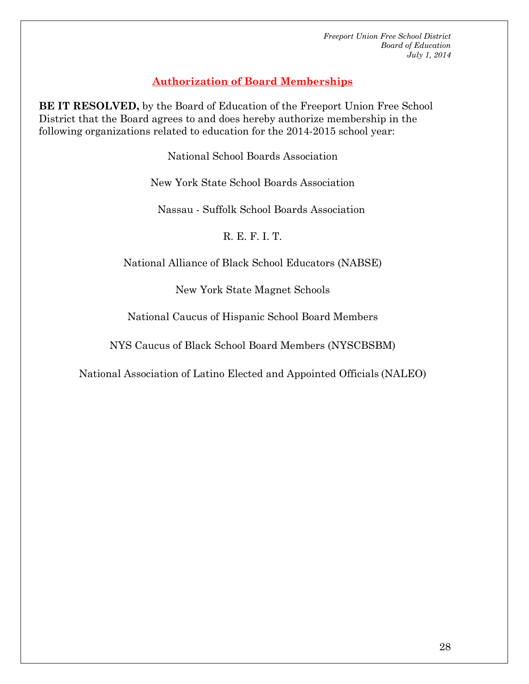# **Authorization of Board Memberships**

**BE IT RESOLVED,** by the Board of Education of the Freeport Union Free School District that the Board agrees to and does hereby authorize membership in the following organizations related to education for the 2014-2015 school year:

National School Boards Association

New York State School Boards Association

Nassau - Suffolk School Boards Association

R. E. F. I. T.

National Alliance of Black School Educators (NABSE)

New York State Magnet Schools

National Caucus of Hispanic School Board Members

NYS Caucus of Black School Board Members (NYSCBSBM)

National Association of Latino Elected and Appointed Officials (NALEO)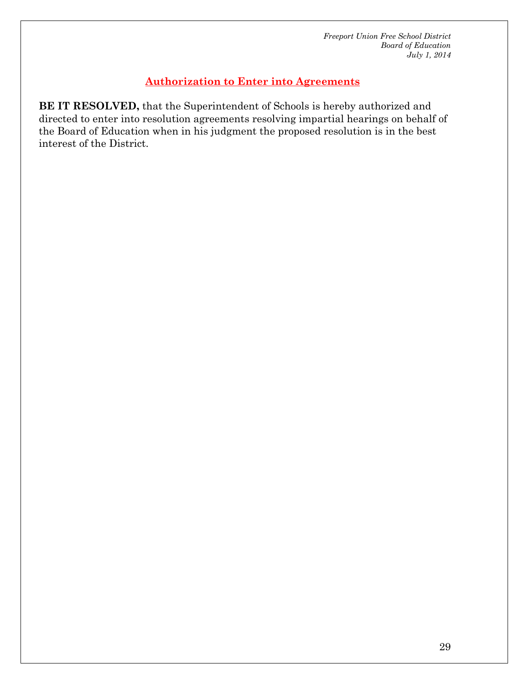# **Authorization to Enter into Agreements**

**BE IT RESOLVED,** that the Superintendent of Schools is hereby authorized and directed to enter into resolution agreements resolving impartial hearings on behalf of the Board of Education when in his judgment the proposed resolution is in the best interest of the District.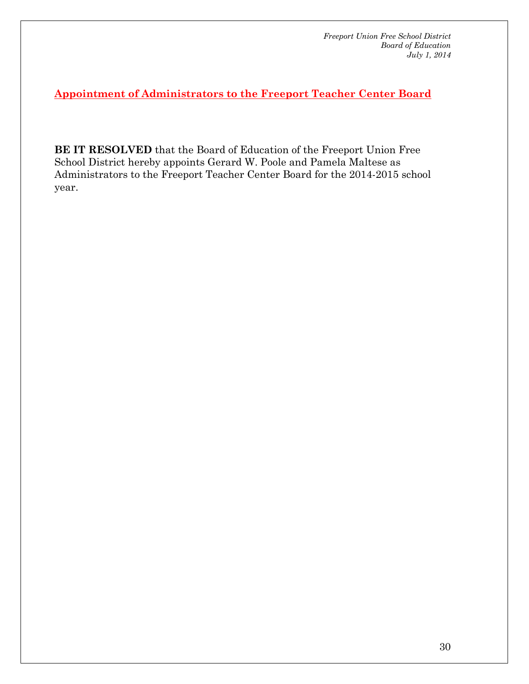**Appointment of Administrators to the Freeport Teacher Center Board**

**BE IT RESOLVED** that the Board of Education of the Freeport Union Free School District hereby appoints Gerard W. Poole and Pamela Maltese as Administrators to the Freeport Teacher Center Board for the 2014-2015 school year.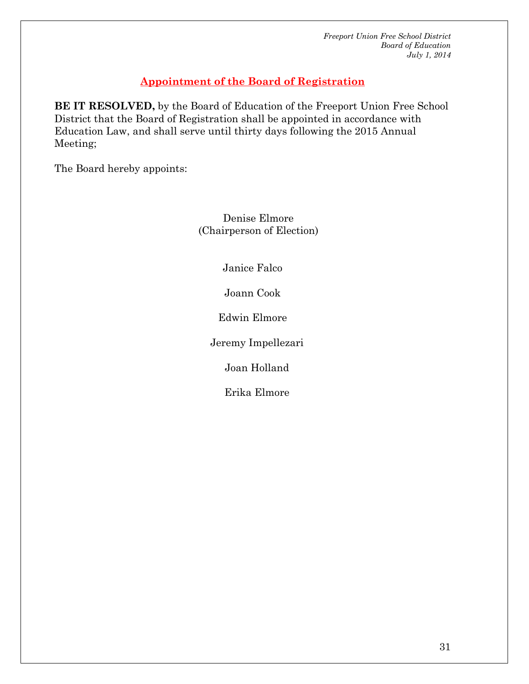#### **Appointment of the Board of Registration**

**BE IT RESOLVED,** by the Board of Education of the Freeport Union Free School District that the Board of Registration shall be appointed in accordance with Education Law, and shall serve until thirty days following the 2015 Annual Meeting;

The Board hereby appoints:

 Denise Elmore (Chairperson of Election)

Janice Falco

Joann Cook

Edwin Elmore

Jeremy Impellezari

Joan Holland

Erika Elmore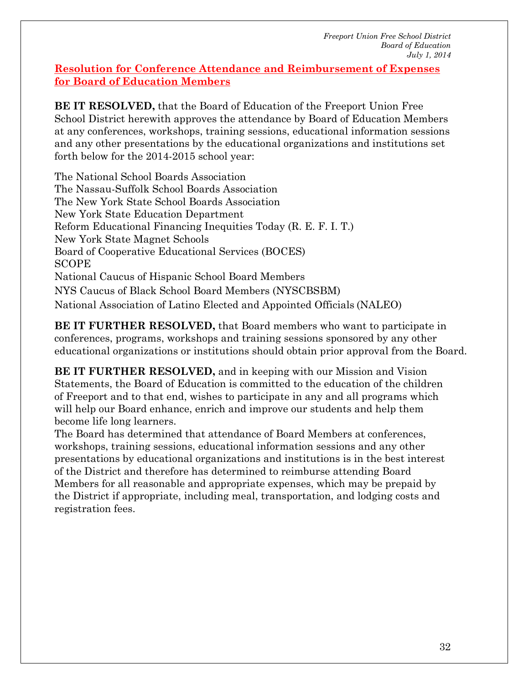#### **Resolution for Conference Attendance and Reimbursement of Expenses for Board of Education Members**

**BE IT RESOLVED,** that the Board of Education of the Freeport Union Free School District herewith approves the attendance by Board of Education Members at any conferences, workshops, training sessions, educational information sessions and any other presentations by the educational organizations and institutions set forth below for the 2014-2015 school year:

The National School Boards Association The Nassau-Suffolk School Boards Association The New York State School Boards Association New York State Education Department Reform Educational Financing Inequities Today (R. E. F. I. T.) New York State Magnet Schools Board of Cooperative Educational Services (BOCES) SCOPE National Caucus of Hispanic School Board Members NYS Caucus of Black School Board Members (NYSCBSBM) National Association of Latino Elected and Appointed Officials (NALEO)

**BE IT FURTHER RESOLVED,** that Board members who want to participate in conferences, programs, workshops and training sessions sponsored by any other educational organizations or institutions should obtain prior approval from the Board.

**BE IT FURTHER RESOLVED,** and in keeping with our Mission and Vision Statements, the Board of Education is committed to the education of the children of Freeport and to that end, wishes to participate in any and all programs which will help our Board enhance, enrich and improve our students and help them become life long learners.

The Board has determined that attendance of Board Members at conferences, workshops, training sessions, educational information sessions and any other presentations by educational organizations and institutions is in the best interest of the District and therefore has determined to reimburse attending Board Members for all reasonable and appropriate expenses, which may be prepaid by the District if appropriate, including meal, transportation, and lodging costs and registration fees.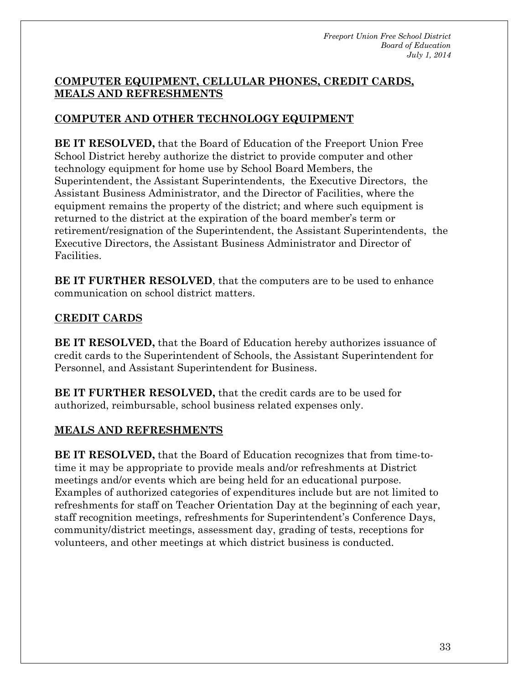#### **COMPUTER EQUIPMENT, CELLULAR PHONES, CREDIT CARDS, MEALS AND REFRESHMENTS**

# **COMPUTER AND OTHER TECHNOLOGY EQUIPMENT**

**BE IT RESOLVED,** that the Board of Education of the Freeport Union Free School District hereby authorize the district to provide computer and other technology equipment for home use by School Board Members, the Superintendent, the Assistant Superintendents, the Executive Directors, the Assistant Business Administrator, and the Director of Facilities, where the equipment remains the property of the district; and where such equipment is returned to the district at the expiration of the board member's term or retirement/resignation of the Superintendent, the Assistant Superintendents, the Executive Directors, the Assistant Business Administrator and Director of Facilities.

**BE IT FURTHER RESOLVED**, that the computers are to be used to enhance communication on school district matters.

## **CREDIT CARDS**

**BE IT RESOLVED,** that the Board of Education hereby authorizes issuance of credit cards to the Superintendent of Schools, the Assistant Superintendent for Personnel, and Assistant Superintendent for Business.

**BE IT FURTHER RESOLVED,** that the credit cards are to be used for authorized, reimbursable, school business related expenses only.

#### **MEALS AND REFRESHMENTS**

**BE IT RESOLVED,** that the Board of Education recognizes that from time-totime it may be appropriate to provide meals and/or refreshments at District meetings and/or events which are being held for an educational purpose. Examples of authorized categories of expenditures include but are not limited to refreshments for staff on Teacher Orientation Day at the beginning of each year, staff recognition meetings, refreshments for Superintendent's Conference Days, community/district meetings, assessment day, grading of tests, receptions for volunteers, and other meetings at which district business is conducted.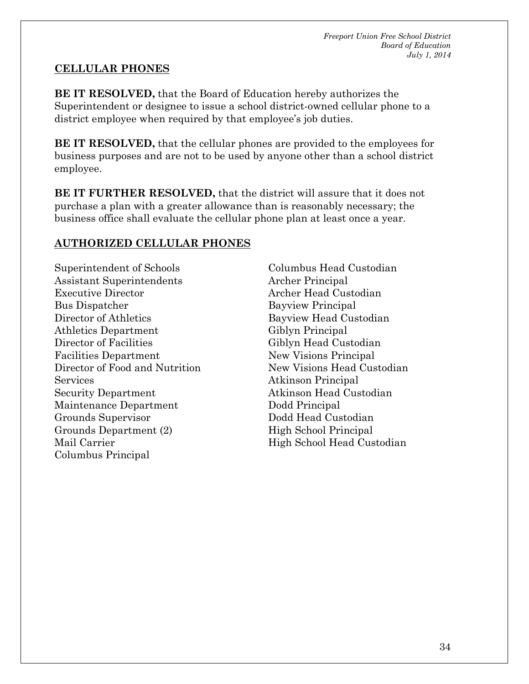#### **CELLULAR PHONES**

**BE IT RESOLVED,** that the Board of Education hereby authorizes the Superintendent or designee to issue a school district-owned cellular phone to a district employee when required by that employee's job duties.

**BE IT RESOLVED,** that the cellular phones are provided to the employees for business purposes and are not to be used by anyone other than a school district employee.

**BE IT FURTHER RESOLVED,** that the district will assure that it does not purchase a plan with a greater allowance than is reasonably necessary; the business office shall evaluate the cellular phone plan at least once a year.

#### **AUTHORIZED CELLULAR PHONES**

Superintendent of Schools Assistant Superintendents Executive Director Bus Dispatcher Director of Athletics Athletics Department Director of Facilities Facilities Department Director of Food and Nutrition Services Security Department Maintenance Department Grounds Supervisor Grounds Department (2) Mail Carrier Columbus Principal

Columbus Head Custodian Archer Principal Archer Head Custodian Bayview Principal Bayview Head Custodian Giblyn Principal Giblyn Head Custodian New Visions Principal New Visions Head Custodian Atkinson Principal Atkinson Head Custodian Dodd Principal Dodd Head Custodian High School Principal High School Head Custodian